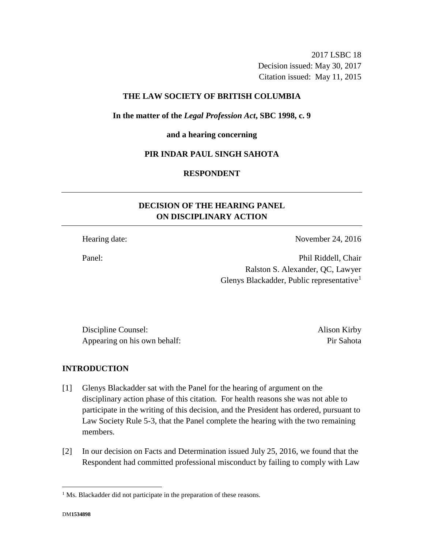2017 LSBC 18 Decision issued: May 30, 2017 Citation issued: May 11, 2015

# **THE LAW SOCIETY OF BRITISH COLUMBIA**

**In the matter of the** *Legal Profession Act***, SBC 1998, c. 9** 

**and a hearing concerning**

### **PIR INDAR PAUL SINGH SAHOTA**

## **RESPONDENT**

# **DECISION OF THE HEARING PANEL ON DISCIPLINARY ACTION**

Hearing date: November 24, 2016

Panel: Phil Riddell, Chair Ralston S. Alexander, QC, Lawyer Glenys Blackadder, Public representative<sup>1</sup>

Discipline Counsel: Alison Kirby Appearing on his own behalf: Pir Sahota

# **INTRODUCTION**

- [1] Glenys Blackadder sat with the Panel for the hearing of argument on the disciplinary action phase of this citation. For health reasons she was not able to participate in the writing of this decision, and the President has ordered, pursuant to Law Society Rule 5-3, that the Panel complete the hearing with the two remaining members.
- [2] In our decision on Facts and Determination issued July 25, 2016, we found that the Respondent had committed professional misconduct by failing to comply with Law

 $\overline{a}$ 

<sup>&</sup>lt;sup>1</sup> Ms. Blackadder did not participate in the preparation of these reasons.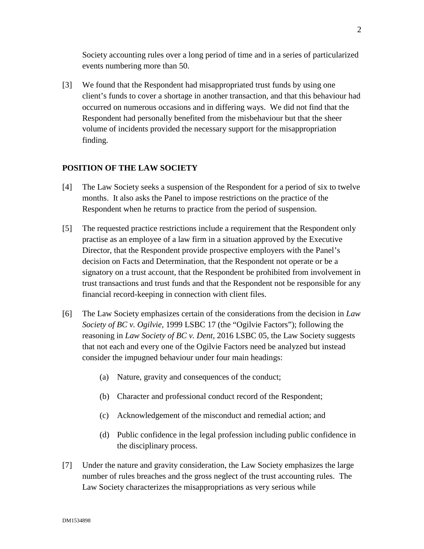Society accounting rules over a long period of time and in a series of particularized events numbering more than 50.

[3] We found that the Respondent had misappropriated trust funds by using one client's funds to cover a shortage in another transaction, and that this behaviour had occurred on numerous occasions and in differing ways. We did not find that the Respondent had personally benefited from the misbehaviour but that the sheer volume of incidents provided the necessary support for the misappropriation finding.

# **POSITION OF THE LAW SOCIETY**

- [4] The Law Society seeks a suspension of the Respondent for a period of six to twelve months. It also asks the Panel to impose restrictions on the practice of the Respondent when he returns to practice from the period of suspension.
- [5] The requested practice restrictions include a requirement that the Respondent only practise as an employee of a law firm in a situation approved by the Executive Director, that the Respondent provide prospective employers with the Panel's decision on Facts and Determination, that the Respondent not operate or be a signatory on a trust account, that the Respondent be prohibited from involvement in trust transactions and trust funds and that the Respondent not be responsible for any financial record-keeping in connection with client files.
- [6] The Law Society emphasizes certain of the considerations from the decision in *Law Society of BC v. Ogilvie*, 1999 LSBC 17 (the "Ogilvie Factors"); following the reasoning in *Law Society of BC v. Dent*, 2016 LSBC 05, the Law Society suggests that not each and every one of the Ogilvie Factors need be analyzed but instead consider the impugned behaviour under four main headings:
	- (a) Nature, gravity and consequences of the conduct;
	- (b) Character and professional conduct record of the Respondent;
	- (c) Acknowledgement of the misconduct and remedial action; and
	- (d) Public confidence in the legal profession including public confidence in the disciplinary process.
- [7] Under the nature and gravity consideration, the Law Society emphasizes the large number of rules breaches and the gross neglect of the trust accounting rules. The Law Society characterizes the misappropriations as very serious while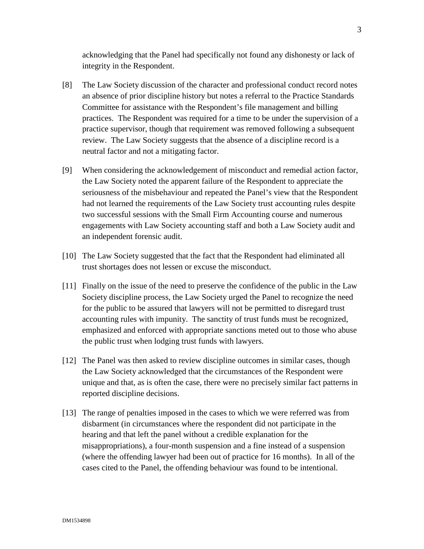acknowledging that the Panel had specifically not found any dishonesty or lack of integrity in the Respondent.

- [8] The Law Society discussion of the character and professional conduct record notes an absence of prior discipline history but notes a referral to the Practice Standards Committee for assistance with the Respondent's file management and billing practices. The Respondent was required for a time to be under the supervision of a practice supervisor, though that requirement was removed following a subsequent review. The Law Society suggests that the absence of a discipline record is a neutral factor and not a mitigating factor.
- [9] When considering the acknowledgement of misconduct and remedial action factor, the Law Society noted the apparent failure of the Respondent to appreciate the seriousness of the misbehaviour and repeated the Panel's view that the Respondent had not learned the requirements of the Law Society trust accounting rules despite two successful sessions with the Small Firm Accounting course and numerous engagements with Law Society accounting staff and both a Law Society audit and an independent forensic audit.
- [10] The Law Society suggested that the fact that the Respondent had eliminated all trust shortages does not lessen or excuse the misconduct.
- [11] Finally on the issue of the need to preserve the confidence of the public in the Law Society discipline process, the Law Society urged the Panel to recognize the need for the public to be assured that lawyers will not be permitted to disregard trust accounting rules with impunity. The sanctity of trust funds must be recognized, emphasized and enforced with appropriate sanctions meted out to those who abuse the public trust when lodging trust funds with lawyers.
- [12] The Panel was then asked to review discipline outcomes in similar cases, though the Law Society acknowledged that the circumstances of the Respondent were unique and that, as is often the case, there were no precisely similar fact patterns in reported discipline decisions.
- [13] The range of penalties imposed in the cases to which we were referred was from disbarment (in circumstances where the respondent did not participate in the hearing and that left the panel without a credible explanation for the misappropriations), a four-month suspension and a fine instead of a suspension (where the offending lawyer had been out of practice for 16 months). In all of the cases cited to the Panel, the offending behaviour was found to be intentional.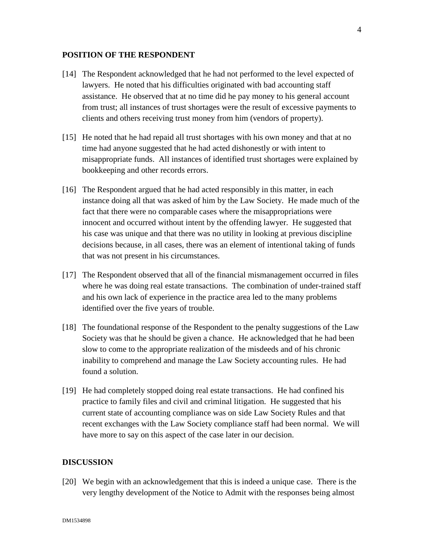### **POSITION OF THE RESPONDENT**

- [14] The Respondent acknowledged that he had not performed to the level expected of lawyers. He noted that his difficulties originated with bad accounting staff assistance. He observed that at no time did he pay money to his general account from trust; all instances of trust shortages were the result of excessive payments to clients and others receiving trust money from him (vendors of property).
- [15] He noted that he had repaid all trust shortages with his own money and that at no time had anyone suggested that he had acted dishonestly or with intent to misappropriate funds. All instances of identified trust shortages were explained by bookkeeping and other records errors.
- [16] The Respondent argued that he had acted responsibly in this matter, in each instance doing all that was asked of him by the Law Society. He made much of the fact that there were no comparable cases where the misappropriations were innocent and occurred without intent by the offending lawyer. He suggested that his case was unique and that there was no utility in looking at previous discipline decisions because, in all cases, there was an element of intentional taking of funds that was not present in his circumstances.
- [17] The Respondent observed that all of the financial mismanagement occurred in files where he was doing real estate transactions. The combination of under-trained staff and his own lack of experience in the practice area led to the many problems identified over the five years of trouble.
- [18] The foundational response of the Respondent to the penalty suggestions of the Law Society was that he should be given a chance. He acknowledged that he had been slow to come to the appropriate realization of the misdeeds and of his chronic inability to comprehend and manage the Law Society accounting rules. He had found a solution.
- [19] He had completely stopped doing real estate transactions. He had confined his practice to family files and civil and criminal litigation. He suggested that his current state of accounting compliance was on side Law Society Rules and that recent exchanges with the Law Society compliance staff had been normal. We will have more to say on this aspect of the case later in our decision.

### **DISCUSSION**

[20] We begin with an acknowledgement that this is indeed a unique case. There is the very lengthy development of the Notice to Admit with the responses being almost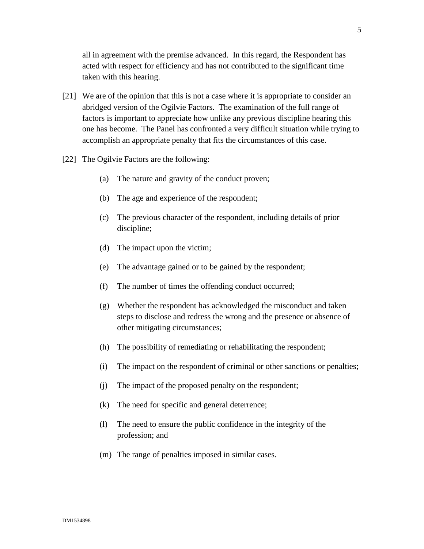all in agreement with the premise advanced. In this regard, the Respondent has acted with respect for efficiency and has not contributed to the significant time taken with this hearing.

- [21] We are of the opinion that this is not a case where it is appropriate to consider an abridged version of the Ogilvie Factors. The examination of the full range of factors is important to appreciate how unlike any previous discipline hearing this one has become. The Panel has confronted a very difficult situation while trying to accomplish an appropriate penalty that fits the circumstances of this case.
- [22] The Ogilvie Factors are the following:
	- (a) The nature and gravity of the conduct proven;
	- (b) The age and experience of the respondent;
	- (c) The previous character of the respondent, including details of prior discipline;
	- (d) The impact upon the victim;
	- (e) The advantage gained or to be gained by the respondent;
	- (f) The number of times the offending conduct occurred;
	- (g) Whether the respondent has acknowledged the misconduct and taken steps to disclose and redress the wrong and the presence or absence of other mitigating circumstances;
	- (h) The possibility of remediating or rehabilitating the respondent;
	- (i) The impact on the respondent of criminal or other sanctions or penalties;
	- (j) The impact of the proposed penalty on the respondent;
	- (k) The need for specific and general deterrence;
	- (l) The need to ensure the public confidence in the integrity of the profession; and
	- (m) The range of penalties imposed in similar cases.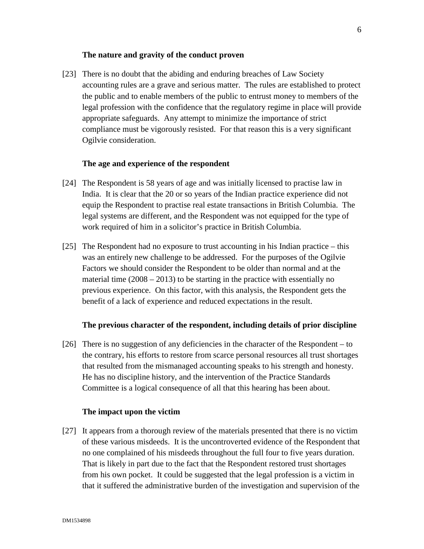### **The nature and gravity of the conduct proven**

[23] There is no doubt that the abiding and enduring breaches of Law Society accounting rules are a grave and serious matter. The rules are established to protect the public and to enable members of the public to entrust money to members of the legal profession with the confidence that the regulatory regime in place will provide appropriate safeguards. Any attempt to minimize the importance of strict compliance must be vigorously resisted. For that reason this is a very significant Ogilvie consideration.

### **The age and experience of the respondent**

- [24] The Respondent is 58 years of age and was initially licensed to practise law in India. It is clear that the 20 or so years of the Indian practice experience did not equip the Respondent to practise real estate transactions in British Columbia. The legal systems are different, and the Respondent was not equipped for the type of work required of him in a solicitor's practice in British Columbia.
- [25] The Respondent had no exposure to trust accounting in his Indian practice this was an entirely new challenge to be addressed. For the purposes of the Ogilvie Factors we should consider the Respondent to be older than normal and at the material time  $(2008 – 2013)$  to be starting in the practice with essentially no previous experience. On this factor, with this analysis, the Respondent gets the benefit of a lack of experience and reduced expectations in the result.

### **The previous character of the respondent, including details of prior discipline**

[26] There is no suggestion of any deficiencies in the character of the Respondent – to the contrary, his efforts to restore from scarce personal resources all trust shortages that resulted from the mismanaged accounting speaks to his strength and honesty. He has no discipline history, and the intervention of the Practice Standards Committee is a logical consequence of all that this hearing has been about.

### **The impact upon the victim**

[27] It appears from a thorough review of the materials presented that there is no victim of these various misdeeds. It is the uncontroverted evidence of the Respondent that no one complained of his misdeeds throughout the full four to five years duration. That is likely in part due to the fact that the Respondent restored trust shortages from his own pocket. It could be suggested that the legal profession is a victim in that it suffered the administrative burden of the investigation and supervision of the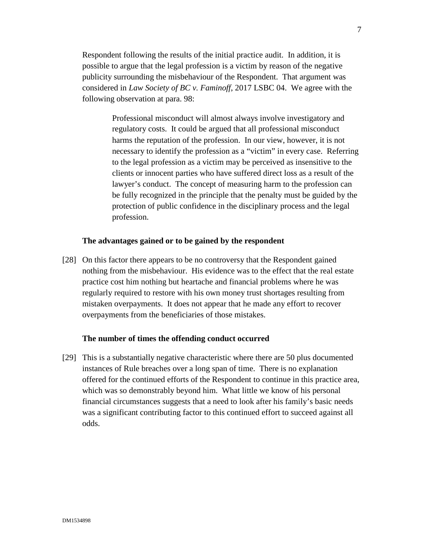Respondent following the results of the initial practice audit. In addition, it is possible to argue that the legal profession is a victim by reason of the negative publicity surrounding the misbehaviour of the Respondent. That argument was considered in *Law Society of BC v. Faminoff*, 2017 LSBC 04. We agree with the following observation at para. 98:

> Professional misconduct will almost always involve investigatory and regulatory costs. It could be argued that all professional misconduct harms the reputation of the profession. In our view, however, it is not necessary to identify the profession as a "victim" in every case. Referring to the legal profession as a victim may be perceived as insensitive to the clients or innocent parties who have suffered direct loss as a result of the lawyer's conduct. The concept of measuring harm to the profession can be fully recognized in the principle that the penalty must be guided by the protection of public confidence in the disciplinary process and the legal profession.

### **The advantages gained or to be gained by the respondent**

[28] On this factor there appears to be no controversy that the Respondent gained nothing from the misbehaviour. His evidence was to the effect that the real estate practice cost him nothing but heartache and financial problems where he was regularly required to restore with his own money trust shortages resulting from mistaken overpayments. It does not appear that he made any effort to recover overpayments from the beneficiaries of those mistakes.

#### **The number of times the offending conduct occurred**

[29] This is a substantially negative characteristic where there are 50 plus documented instances of Rule breaches over a long span of time. There is no explanation offered for the continued efforts of the Respondent to continue in this practice area, which was so demonstrably beyond him. What little we know of his personal financial circumstances suggests that a need to look after his family's basic needs was a significant contributing factor to this continued effort to succeed against all odds.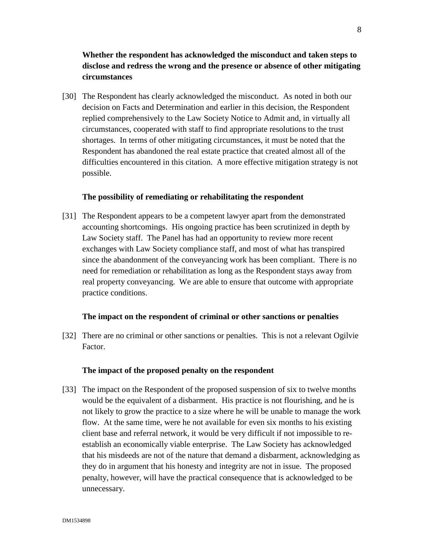# **Whether the respondent has acknowledged the misconduct and taken steps to disclose and redress the wrong and the presence or absence of other mitigating circumstances**

[30] The Respondent has clearly acknowledged the misconduct. As noted in both our decision on Facts and Determination and earlier in this decision, the Respondent replied comprehensively to the Law Society Notice to Admit and, in virtually all circumstances, cooperated with staff to find appropriate resolutions to the trust shortages. In terms of other mitigating circumstances, it must be noted that the Respondent has abandoned the real estate practice that created almost all of the difficulties encountered in this citation. A more effective mitigation strategy is not possible.

### **The possibility of remediating or rehabilitating the respondent**

[31] The Respondent appears to be a competent lawyer apart from the demonstrated accounting shortcomings. His ongoing practice has been scrutinized in depth by Law Society staff. The Panel has had an opportunity to review more recent exchanges with Law Society compliance staff, and most of what has transpired since the abandonment of the conveyancing work has been compliant. There is no need for remediation or rehabilitation as long as the Respondent stays away from real property conveyancing. We are able to ensure that outcome with appropriate practice conditions.

### **The impact on the respondent of criminal or other sanctions or penalties**

[32] There are no criminal or other sanctions or penalties. This is not a relevant Ogilvie Factor.

### **The impact of the proposed penalty on the respondent**

[33] The impact on the Respondent of the proposed suspension of six to twelve months would be the equivalent of a disbarment. His practice is not flourishing, and he is not likely to grow the practice to a size where he will be unable to manage the work flow. At the same time, were he not available for even six months to his existing client base and referral network, it would be very difficult if not impossible to reestablish an economically viable enterprise. The Law Society has acknowledged that his misdeeds are not of the nature that demand a disbarment, acknowledging as they do in argument that his honesty and integrity are not in issue. The proposed penalty, however, will have the practical consequence that is acknowledged to be unnecessary.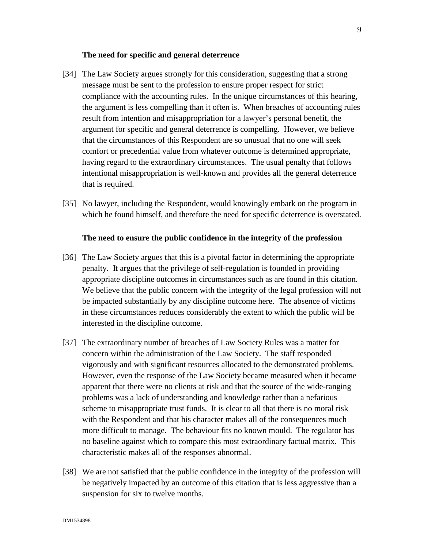### **The need for specific and general deterrence**

- [34] The Law Society argues strongly for this consideration, suggesting that a strong message must be sent to the profession to ensure proper respect for strict compliance with the accounting rules. In the unique circumstances of this hearing, the argument is less compelling than it often is. When breaches of accounting rules result from intention and misappropriation for a lawyer's personal benefit, the argument for specific and general deterrence is compelling. However, we believe that the circumstances of this Respondent are so unusual that no one will seek comfort or precedential value from whatever outcome is determined appropriate, having regard to the extraordinary circumstances. The usual penalty that follows intentional misappropriation is well-known and provides all the general deterrence that is required.
- [35] No lawyer, including the Respondent, would knowingly embark on the program in which he found himself, and therefore the need for specific deterrence is overstated.

### **The need to ensure the public confidence in the integrity of the profession**

- [36] The Law Society argues that this is a pivotal factor in determining the appropriate penalty. It argues that the privilege of self-regulation is founded in providing appropriate discipline outcomes in circumstances such as are found in this citation. We believe that the public concern with the integrity of the legal profession will not be impacted substantially by any discipline outcome here. The absence of victims in these circumstances reduces considerably the extent to which the public will be interested in the discipline outcome.
- [37] The extraordinary number of breaches of Law Society Rules was a matter for concern within the administration of the Law Society. The staff responded vigorously and with significant resources allocated to the demonstrated problems. However, even the response of the Law Society became measured when it became apparent that there were no clients at risk and that the source of the wide-ranging problems was a lack of understanding and knowledge rather than a nefarious scheme to misappropriate trust funds. It is clear to all that there is no moral risk with the Respondent and that his character makes all of the consequences much more difficult to manage. The behaviour fits no known mould. The regulator has no baseline against which to compare this most extraordinary factual matrix. This characteristic makes all of the responses abnormal.
- [38] We are not satisfied that the public confidence in the integrity of the profession will be negatively impacted by an outcome of this citation that is less aggressive than a suspension for six to twelve months.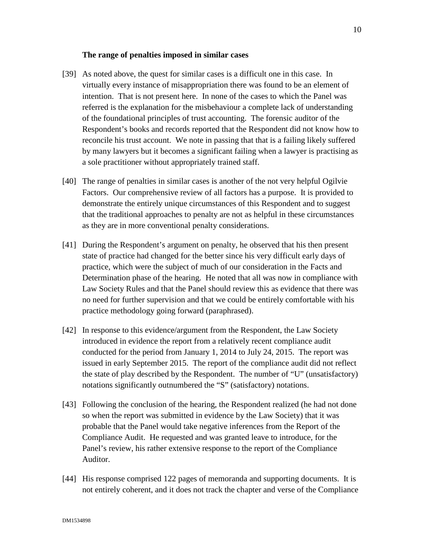### **The range of penalties imposed in similar cases**

- [39] As noted above, the quest for similar cases is a difficult one in this case. In virtually every instance of misappropriation there was found to be an element of intention. That is not present here. In none of the cases to which the Panel was referred is the explanation for the misbehaviour a complete lack of understanding of the foundational principles of trust accounting. The forensic auditor of the Respondent's books and records reported that the Respondent did not know how to reconcile his trust account. We note in passing that that is a failing likely suffered by many lawyers but it becomes a significant failing when a lawyer is practising as a sole practitioner without appropriately trained staff.
- [40] The range of penalties in similar cases is another of the not very helpful Ogilvie Factors. Our comprehensive review of all factors has a purpose. It is provided to demonstrate the entirely unique circumstances of this Respondent and to suggest that the traditional approaches to penalty are not as helpful in these circumstances as they are in more conventional penalty considerations.
- [41] During the Respondent's argument on penalty, he observed that his then present state of practice had changed for the better since his very difficult early days of practice, which were the subject of much of our consideration in the Facts and Determination phase of the hearing. He noted that all was now in compliance with Law Society Rules and that the Panel should review this as evidence that there was no need for further supervision and that we could be entirely comfortable with his practice methodology going forward (paraphrased).
- [42] In response to this evidence/argument from the Respondent, the Law Society introduced in evidence the report from a relatively recent compliance audit conducted for the period from January 1, 2014 to July 24, 2015. The report was issued in early September 2015. The report of the compliance audit did not reflect the state of play described by the Respondent. The number of "U" (unsatisfactory) notations significantly outnumbered the "S" (satisfactory) notations.
- [43] Following the conclusion of the hearing, the Respondent realized (he had not done so when the report was submitted in evidence by the Law Society) that it was probable that the Panel would take negative inferences from the Report of the Compliance Audit. He requested and was granted leave to introduce, for the Panel's review, his rather extensive response to the report of the Compliance Auditor.
- [44] His response comprised 122 pages of memoranda and supporting documents. It is not entirely coherent, and it does not track the chapter and verse of the Compliance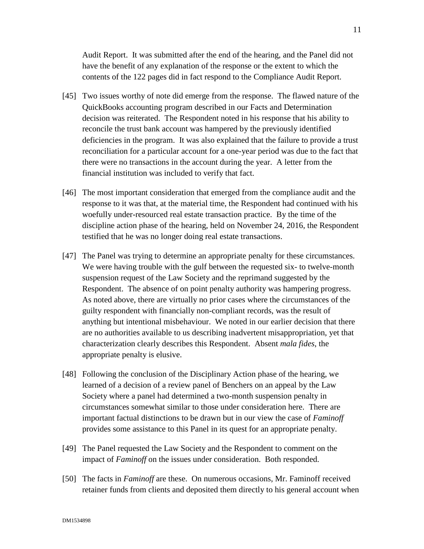Audit Report. It was submitted after the end of the hearing, and the Panel did not have the benefit of any explanation of the response or the extent to which the contents of the 122 pages did in fact respond to the Compliance Audit Report.

- [45] Two issues worthy of note did emerge from the response. The flawed nature of the QuickBooks accounting program described in our Facts and Determination decision was reiterated. The Respondent noted in his response that his ability to reconcile the trust bank account was hampered by the previously identified deficiencies in the program. It was also explained that the failure to provide a trust reconciliation for a particular account for a one-year period was due to the fact that there were no transactions in the account during the year. A letter from the financial institution was included to verify that fact.
- [46] The most important consideration that emerged from the compliance audit and the response to it was that, at the material time, the Respondent had continued with his woefully under-resourced real estate transaction practice. By the time of the discipline action phase of the hearing, held on November 24, 2016, the Respondent testified that he was no longer doing real estate transactions.
- [47] The Panel was trying to determine an appropriate penalty for these circumstances. We were having trouble with the gulf between the requested six- to twelve-month suspension request of the Law Society and the reprimand suggested by the Respondent. The absence of on point penalty authority was hampering progress. As noted above, there are virtually no prior cases where the circumstances of the guilty respondent with financially non-compliant records, was the result of anything but intentional misbehaviour. We noted in our earlier decision that there are no authorities available to us describing inadvertent misappropriation, yet that characterization clearly describes this Respondent. Absent *mala fides*, the appropriate penalty is elusive.
- [48] Following the conclusion of the Disciplinary Action phase of the hearing, we learned of a decision of a review panel of Benchers on an appeal by the Law Society where a panel had determined a two-month suspension penalty in circumstances somewhat similar to those under consideration here. There are important factual distinctions to be drawn but in our view the case of *Faminoff* provides some assistance to this Panel in its quest for an appropriate penalty.
- [49] The Panel requested the Law Society and the Respondent to comment on the impact of *Faminoff* on the issues under consideration. Both responded.
- [50] The facts in *Faminoff* are these. On numerous occasions, Mr. Faminoff received retainer funds from clients and deposited them directly to his general account when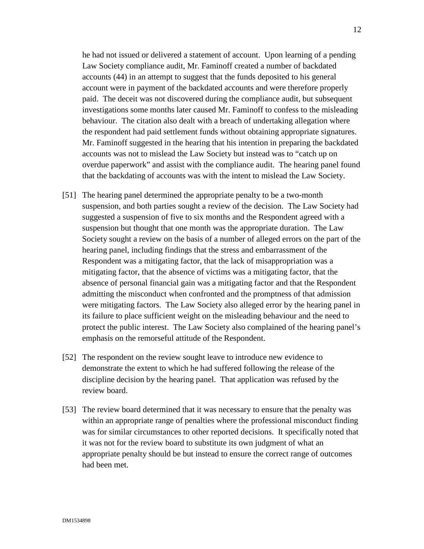he had not issued or delivered a statement of account. Upon learning of a pending Law Society compliance audit, Mr. Faminoff created a number of backdated accounts (44) in an attempt to suggest that the funds deposited to his general account were in payment of the backdated accounts and were therefore properly paid. The deceit was not discovered during the compliance audit, but subsequent investigations some months later caused Mr. Faminoff to confess to the misleading behaviour. The citation also dealt with a breach of undertaking allegation where the respondent had paid settlement funds without obtaining appropriate signatures. Mr. Faminoff suggested in the hearing that his intention in preparing the backdated accounts was not to mislead the Law Society but instead was to "catch up on overdue paperwork" and assist with the compliance audit. The hearing panel found that the backdating of accounts was with the intent to mislead the Law Society.

- [51] The hearing panel determined the appropriate penalty to be a two-month suspension, and both parties sought a review of the decision. The Law Society had suggested a suspension of five to six months and the Respondent agreed with a suspension but thought that one month was the appropriate duration. The Law Society sought a review on the basis of a number of alleged errors on the part of the hearing panel, including findings that the stress and embarrassment of the Respondent was a mitigating factor, that the lack of misappropriation was a mitigating factor, that the absence of victims was a mitigating factor, that the absence of personal financial gain was a mitigating factor and that the Respondent admitting the misconduct when confronted and the promptness of that admission were mitigating factors. The Law Society also alleged error by the hearing panel in its failure to place sufficient weight on the misleading behaviour and the need to protect the public interest. The Law Society also complained of the hearing panel's emphasis on the remorseful attitude of the Respondent.
- [52] The respondent on the review sought leave to introduce new evidence to demonstrate the extent to which he had suffered following the release of the discipline decision by the hearing panel. That application was refused by the review board.
- [53] The review board determined that it was necessary to ensure that the penalty was within an appropriate range of penalties where the professional misconduct finding was for similar circumstances to other reported decisions. It specifically noted that it was not for the review board to substitute its own judgment of what an appropriate penalty should be but instead to ensure the correct range of outcomes had been met.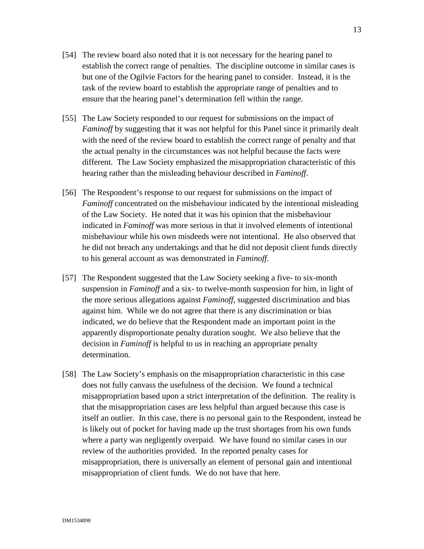- [54] The review board also noted that it is not necessary for the hearing panel to establish the correct range of penalties. The discipline outcome in similar cases is but one of the Ogilvie Factors for the hearing panel to consider. Instead, it is the task of the review board to establish the appropriate range of penalties and to ensure that the hearing panel's determination fell within the range.
- [55] The Law Society responded to our request for submissions on the impact of *Faminoff* by suggesting that it was not helpful for this Panel since it primarily dealt with the need of the review board to establish the correct range of penalty and that the actual penalty in the circumstances was not helpful because the facts were different. The Law Society emphasized the misappropriation characteristic of this hearing rather than the misleading behaviour described in *Faminoff*.
- [56] The Respondent's response to our request for submissions on the impact of *Faminoff* concentrated on the misbehaviour indicated by the intentional misleading of the Law Society. He noted that it was his opinion that the misbehaviour indicated in *Faminoff* was more serious in that it involved elements of intentional misbehaviour while his own misdeeds were not intentional. He also observed that he did not breach any undertakings and that he did not deposit client funds directly to his general account as was demonstrated in *Faminoff*.
- [57] The Respondent suggested that the Law Society seeking a five- to six-month suspension in *Faminoff* and a six- to twelve-month suspension for him, in light of the more serious allegations against *Faminoff*, suggested discrimination and bias against him. While we do not agree that there is any discrimination or bias indicated, we do believe that the Respondent made an important point in the apparently disproportionate penalty duration sought. We also believe that the decision in *Faminoff* is helpful to us in reaching an appropriate penalty determination.
- [58] The Law Society's emphasis on the misappropriation characteristic in this case does not fully canvass the usefulness of the decision. We found a technical misappropriation based upon a strict interpretation of the definition. The reality is that the misappropriation cases are less helpful than argued because this case is itself an outlier. In this case, there is no personal gain to the Respondent, instead he is likely out of pocket for having made up the trust shortages from his own funds where a party was negligently overpaid. We have found no similar cases in our review of the authorities provided. In the reported penalty cases for misappropriation, there is universally an element of personal gain and intentional misappropriation of client funds. We do not have that here.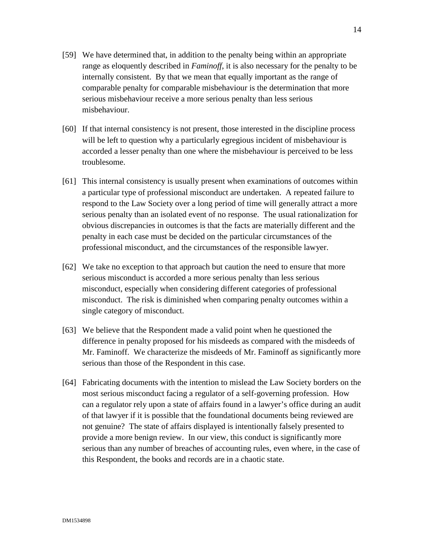- [59] We have determined that, in addition to the penalty being within an appropriate range as eloquently described in *Faminoff*, it is also necessary for the penalty to be internally consistent. By that we mean that equally important as the range of comparable penalty for comparable misbehaviour is the determination that more serious misbehaviour receive a more serious penalty than less serious misbehaviour.
- [60] If that internal consistency is not present, those interested in the discipline process will be left to question why a particularly egregious incident of misbehaviour is accorded a lesser penalty than one where the misbehaviour is perceived to be less troublesome.
- [61] This internal consistency is usually present when examinations of outcomes within a particular type of professional misconduct are undertaken. A repeated failure to respond to the Law Society over a long period of time will generally attract a more serious penalty than an isolated event of no response. The usual rationalization for obvious discrepancies in outcomes is that the facts are materially different and the penalty in each case must be decided on the particular circumstances of the professional misconduct, and the circumstances of the responsible lawyer.
- [62] We take no exception to that approach but caution the need to ensure that more serious misconduct is accorded a more serious penalty than less serious misconduct, especially when considering different categories of professional misconduct. The risk is diminished when comparing penalty outcomes within a single category of misconduct.
- [63] We believe that the Respondent made a valid point when he questioned the difference in penalty proposed for his misdeeds as compared with the misdeeds of Mr. Faminoff. We characterize the misdeeds of Mr. Faminoff as significantly more serious than those of the Respondent in this case.
- [64] Fabricating documents with the intention to mislead the Law Society borders on the most serious misconduct facing a regulator of a self-governing profession. How can a regulator rely upon a state of affairs found in a lawyer's office during an audit of that lawyer if it is possible that the foundational documents being reviewed are not genuine? The state of affairs displayed is intentionally falsely presented to provide a more benign review. In our view, this conduct is significantly more serious than any number of breaches of accounting rules, even where, in the case of this Respondent, the books and records are in a chaotic state.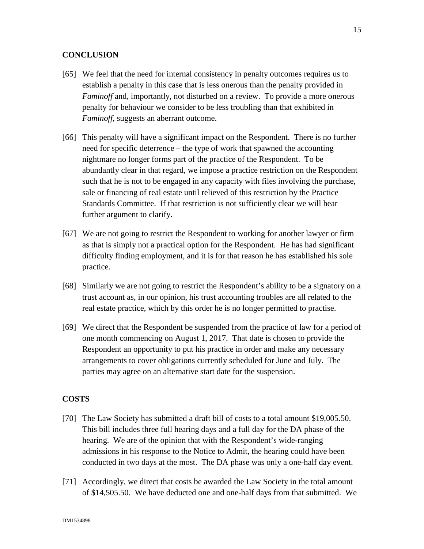## **CONCLUSION**

- [65] We feel that the need for internal consistency in penalty outcomes requires us to establish a penalty in this case that is less onerous than the penalty provided in *Faminoff* and, importantly, not disturbed on a review. To provide a more onerous penalty for behaviour we consider to be less troubling than that exhibited in *Faminoff*, suggests an aberrant outcome.
- [66] This penalty will have a significant impact on the Respondent. There is no further need for specific deterrence – the type of work that spawned the accounting nightmare no longer forms part of the practice of the Respondent. To be abundantly clear in that regard, we impose a practice restriction on the Respondent such that he is not to be engaged in any capacity with files involving the purchase, sale or financing of real estate until relieved of this restriction by the Practice Standards Committee. If that restriction is not sufficiently clear we will hear further argument to clarify.
- [67] We are not going to restrict the Respondent to working for another lawyer or firm as that is simply not a practical option for the Respondent. He has had significant difficulty finding employment, and it is for that reason he has established his sole practice.
- [68] Similarly we are not going to restrict the Respondent's ability to be a signatory on a trust account as, in our opinion, his trust accounting troubles are all related to the real estate practice, which by this order he is no longer permitted to practise.
- [69] We direct that the Respondent be suspended from the practice of law for a period of one month commencing on August 1, 2017. That date is chosen to provide the Respondent an opportunity to put his practice in order and make any necessary arrangements to cover obligations currently scheduled for June and July. The parties may agree on an alternative start date for the suspension.

### **COSTS**

- [70] The Law Society has submitted a draft bill of costs to a total amount \$19,005.50. This bill includes three full hearing days and a full day for the DA phase of the hearing. We are of the opinion that with the Respondent's wide-ranging admissions in his response to the Notice to Admit, the hearing could have been conducted in two days at the most. The DA phase was only a one-half day event.
- [71] Accordingly, we direct that costs be awarded the Law Society in the total amount of \$14,505.50. We have deducted one and one-half days from that submitted. We